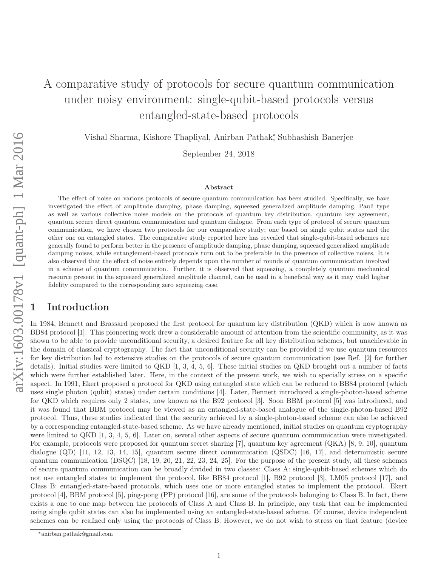# A comparative study of protocols for secure quantum communication under noisy environment: single-qubit-based protocols versus entangled-state-based protocols

Vishal Sharma, Kishore Thapliyal, Anirban Pathak<sup>∗</sup> , Subhashish Banerjee

September 24, 2018

#### Abstract

The effect of noise on various protocols of secure quantum communication has been studied. Specifically, we have investigated the effect of amplitude damping, phase damping, squeezed generalized amplitude damping, Pauli type as well as various collective noise models on the protocols of quantum key distribution, quantum key agreement, quantum secure direct quantum communication and quantum dialogue. From each type of protocol of secure quantum communication, we have chosen two protocols for our comparative study; one based on single qubit states and the other one on entangled states. The comparative study reported here has revealed that single-qubit-based schemes are generally found to perform better in the presence of amplitude damping, phase damping, squeezed generalized amplitude damping noises, while entanglement-based protocols turn out to be preferable in the presence of collective noises. It is also observed that the effect of noise entirely depends upon the number of rounds of quantum communication involved in a scheme of quantum communication. Further, it is observed that squeezing, a completely quantum mechanical resource present in the squeezed generalized amplitude channel, can be used in a beneficial way as it may yield higher fidelity compared to the corresponding zero squeezing case.

# **Introduction**

In 1984, Bennett and Brassard proposed the first protocol for quantum key distribution (QKD) which is now known as BB84 protocol [1]. This pioneering work drew a considerable amount of attention from the scientific community, as it was shown to be able to provide unconditional security, a desired feature for all key distribution schemes, but unachievable in the domain of classical cryptography. The fact that unconditional security can be provided if we use quantum resources for key distribution led to extensive studies on the protocols of secure quantum communication (see Ref. [2] for further details). Initial studies were limited to QKD [1, 3, 4, 5, 6]. These initial studies on QKD brought out a number of facts which were further established later. Here, in the context of the present work, we wish to specially stress on a specific aspect. In 1991, Ekert proposed a protocol for QKD using entangled state which can be reduced to BB84 protocol (which uses single photon (qubit) states) under certain conditions [4]. Later, Bennett introduced a single-photon-based scheme for QKD which requires only 2 states, now known as the B92 protocol [3]. Soon BBM protocol [5] was introduced, and it was found that BBM protocol may be viewed as an entangled-state-based analogue of the single-photon-based B92 protocol. Thus, these studies indicated that the security achieved by a single-photon-based scheme can also be achieved by a corresponding entangled-state-based scheme. As we have already mentioned, initial studies on quantum cryptography were limited to QKD [1, 3, 4, 5, 6]. Later on, several other aspects of secure quantum communication were investigated. For example, protocols were proposed for quantum secret sharing [7], quantum key agreement (QKA) [8, 9, 10], quantum dialogue (QD) [11, 12, 13, 14, 15], quantum secure direct communication (QSDC) [16, 17], and deterministic secure quantum communication (DSQC) [18, 19, 20, 21, 22, 23, 24, 25]. For the purpose of the present study, all these schemes of secure quantum communication can be broadly divided in two classes: Class A: single-qubit-based schemes which do not use entangled states to implement the protocol, like BB84 protocol [1], B92 protocol [3], LM05 protocol [17], and Class B: entangled-state-based protocols, which uses one or more entangled states to implement the protocol. Ekert protocol [4], BBM protocol [5], ping-pong (PP) protocol [16], are some of the protocols belonging to Class B. In fact, there exists a one to one map between the protocols of Class A and Class B. In principle, any task that can be implemented using single qubit states can also be implemented using an entangled-state-based scheme. Of course, device independent schemes can be realized only using the protocols of Class B. However, we do not wish to stress on that feature (device

<sup>∗</sup>anirban.pathak@gmail.com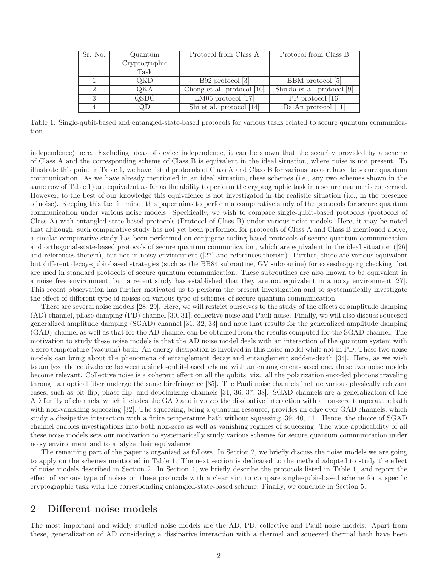| Sr. No. | Quantum       | Protocol from Class A      | Protocol from Class B      |
|---------|---------------|----------------------------|----------------------------|
|         | Cryptographic |                            |                            |
|         | Task          |                            |                            |
|         | QKD           | $B92$ protocol $ 3 $       | BBM protocol [5]           |
|         | QKA           | Chong et al. protocol [10] | Shukla et al. protocol [9] |
|         | QSDC          | $LM05$ protocol [17]       | PP protocol [16]           |
|         | QD            | Shi et al. protocol [14]   | Ba An protocol [11]        |

Table 1: Single-qubit-based and entangled-state-based protocols for various tasks related to secure quantum communication.

independence) here. Excluding ideas of device independence, it can be shown that the security provided by a scheme of Class A and the corresponding scheme of Class B is equivalent in the ideal situation, where noise is not present. To illustrate this point in Table 1, we have listed protocols of Class A and Class B for various tasks related to secure quantum communication. As we have already mentioned in an ideal situation, these schemes (i.e., any two schemes shown in the same row of Table 1) are equivalent as far as the ability to perform the cryptographic task in a secure manner is concerned. However, to the best of our knowledge this equivalence is not investigated in the realistic situation (i.e., in the presence of noise). Keeping this fact in mind, this paper aims to perform a comparative study of the protocols for secure quantum communication under various noise models. Specifically, we wish to compare single-qubit-based protocols (protocols of Class A) with entangled-state-based protocols (Protocol of Class B) under various noise models. Here, it may be noted that although, such comparative study has not yet been performed for protocols of Class A and Class B mentioned above, a similar comparative study has been performed on conjugate-coding-based protocols of secure quantum communication and orthogonal-state-based protocols of secure quantum communication, which are equivalent in the ideal situation ([26] and references therein), but not in noisy environment ([27] and references therein). Further, there are various equivalent but different decoy-qubit-based strategies (such as the BB84 subroutine, GV subroutine) for eavesdropping checking that are used in standard protocols of secure quantum communication. These subroutines are also known to be equivalent in a noise free environment, but a recent study has established that they are not equivalent in a noisy environment [27]. This recent observation has further motivated us to perform the present investigation and to systematically investigate the effect of different type of noises on various type of schemes of secure quantum communication.

There are several noise models [28, 29]. Here, we will restrict ourselves to the study of the effects of amplitude damping (AD) channel, phase damping (PD) channel [30, 31], collective noise and Pauli noise. Finally, we will also discuss squeezed generalized amplitude damping (SGAD) channel [31, 32, 33] and note that results for the generalized amplitude damping (GAD) channel as well as that for the AD channel can be obtained from the results computed for the SGAD channel. The motivation to study these noise models is that the AD noise model deals with an interaction of the quantum system with a zero temperature (vacuum) bath. An energy dissipation is involved in this noise model while not in PD. These two noise models can bring about the phenomena of entanglement decay and entanglement sudden-death [34]. Here, as we wish to analyze the equivalence between a single-qubit-based scheme with an entanglement-based one, these two noise models become relevant. Collective noise is a coherent effect on all the qubits, viz., all the polarization encoded photons traveling through an optical fiber undergo the same birefringence [35]. The Pauli noise channels include various physically relevant cases, such as bit flip, phase flip, and depolarizing channels [31, 36, 37, 38]. SGAD channels are a generalization of the AD family of channels, which includes the GAD and involves the dissipative interaction with a non-zero temperature bath with non-vanishing squeezing [32]. The squeezing, being a quantum resource, provides an edge over GAD channels, which study a dissipative interaction with a finite temperature bath without squeezing [39, 40, 41]. Hence, the choice of SGAD channel enables investigations into both non-zero as well as vanishing regimes of squeezing. The wide applicability of all these noise models sets our motivation to systematically study various schemes for secure quantum communication under noisy environment and to analyze their equivalence.

The remaining part of the paper is organized as follows. In Section 2, we briefly discuss the noise models we are going to apply on the schemes mentioned in Table 1. The next section is dedicated to the method adopted to study the effect of noise models described in Section 2. In Section 4, we briefly describe the protocols listed in Table 1, and report the effect of various type of noises on these protocols with a clear aim to compare single-qubit-based scheme for a specific cryptographic task with the corresponding entangled-state-based scheme. Finally, we conclude in Section 5.

### 2 Different noise models

The most important and widely studied noise models are the AD, PD, collective and Pauli noise models. Apart from these, generalization of AD considering a dissipative interaction with a thermal and squeezed thermal bath have been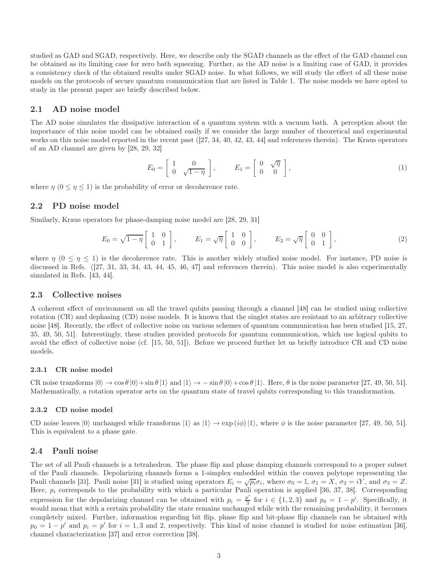studied as GAD and SGAD, respectively. Here, we describe only the SGAD channels as the effect of the GAD channel can be obtained as its limiting case for zero bath squeezing. Further, as the AD noise is a limiting case of GAD, it provides a consistency check of the obtained results under SGAD noise. In what follows, we will study the effect of all these noise models on the protocols of secure quantum communication that are listed in Table 1. The noise models we have opted to study in the present paper are briefly described below.

#### 2.1 AD noise model

The AD noise simulates the dissipative interaction of a quantum system with a vacuum bath. A perception about the importance of this noise model can be obtained easily if we consider the large number of theoretical and experimental works on this noise model reported in the recent past ([27, 34, 40, 42, 43, 44] and references therein). The Kraus operators of an AD channel are given by [28, 29, 32]

$$
E_0 = \begin{bmatrix} 1 & 0 \\ 0 & \sqrt{1-\eta} \end{bmatrix}, \qquad E_1 = \begin{bmatrix} 0 & \sqrt{\eta} \\ 0 & 0 \end{bmatrix}, \tag{1}
$$

where  $\eta$  ( $0 \leq \eta \leq 1$ ) is the probability of error or decoherence rate.

#### 2.2 PD noise model

Similarly, Kraus operators for phase-damping noise model are [28, 29, 31]

$$
E_0 = \sqrt{1-\eta} \begin{bmatrix} 1 & 0 \\ 0 & 1 \end{bmatrix}, \qquad E_1 = \sqrt{\eta} \begin{bmatrix} 1 & 0 \\ 0 & 0 \end{bmatrix}, \qquad E_2 = \sqrt{\eta} \begin{bmatrix} 0 & 0 \\ 0 & 1 \end{bmatrix}, \tag{2}
$$

where  $\eta$  ( $0 \le \eta \le 1$ ) is the decoherence rate. This is another widely studied noise model. For instance, PD noise is discussed in Refs. ([27, 31, 33, 34, 43, 44, 45, 46, 47] and references therein). This noise model is also experimentally simulated in Refs. [43, 44].

#### 2.3 Collective noises

A coherent effect of environment on all the travel qubits passing through a channel [48] can be studied using collective rotation (CR) and dephasing (CD) noise models. It is known that the singlet states are resistant to an arbitrary collective noise [48]. Recently, the effect of collective noise on various schemes of quantum communication has been studied [15, 27, 35, 49, 50, 51]. Interestingly, these studies provided protocols for quantum communication, which use logical qubits to avoid the effect of collective noise (cf. [15, 50, 51]). Before we proceed further let us briefly introduce CR and CD noise models.

#### 2.3.1 CR noise model

CR noise transforms  $|0\rangle \rightarrow \cos \theta |0\rangle + \sin \theta |1\rangle$  and  $|1\rangle \rightarrow -\sin \theta |0\rangle + \cos \theta |1\rangle$ . Here,  $\theta$  is the noise parameter [27, 49, 50, 51]. Mathematically, a rotation operator acts on the quantum state of travel qubits corresponding to this transformation.

#### 2.3.2 CD noise model

CD noise leaves  $|0\rangle$  unchanged while transforms  $|1\rangle$  as  $|1\rangle \rightarrow \exp(i\phi)|1\rangle$ , where  $\phi$  is the noise parameter [27, 49, 50, 51]. This is equivalent to a phase gate.

#### 2.4 Pauli noise

The set of all Pauli channels is a tetrahedron. The phase flip and phase damping channels correspond to a proper subset of the Pauli channels. Depolarizing channels forms a 1-simplex embedded within the convex polytope representing the Pauli channels [31]. Pauli noise [31] is studied using operators  $E_i = \sqrt{p_i} \sigma_i$ , where  $\sigma_0 = \mathbb{I}$ ,  $\sigma_1 = X$ ,  $\sigma_2 = iY$ , and  $\sigma_3 = Z$ . Here,  $p_i$  corresponds to the probability with which a particular Pauli operation is applied [36, 37, 38]. Corresponding expression for the depolarizing channel can be obtained with  $p_i = \frac{p'}{3}$  $\frac{p}{3}$  for  $i \in \{1, 2, 3\}$  and  $p_0 = 1 - p'$ . Specifically, it would mean that with a certain probability the state remains unchanged while with the remaining probability, it becomes completely mixed. Further, information regarding bit flip, phase flip and bit-phase flip channels can be obtained with  $p_0 = 1 - p'$  and  $p_i = p'$  for  $i = 1, 3$  and 2, respectively. This kind of noise channel is studied for noise estimation [36], channel characterization [37] and error correction [38].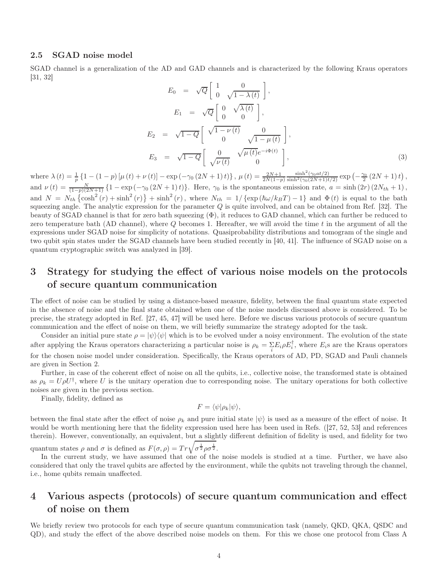### 2.5 SGAD noise model

SGAD channel is a generalization of the AD and GAD channels and is characterized by the following Kraus operators [31, 32]

$$
E_0 = \sqrt{Q} \begin{bmatrix} 1 & 0 \\ 0 & \sqrt{1 - \lambda(t)} \end{bmatrix},
$$
  
\n
$$
E_1 = \sqrt{Q} \begin{bmatrix} 0 & \sqrt{\lambda(t)} \\ 0 & 0 \end{bmatrix},
$$
  
\n
$$
E_2 = \sqrt{1 - Q} \begin{bmatrix} \sqrt{1 - \nu(t)} & 0 \\ 0 & \sqrt{1 - \mu(t)} \end{bmatrix},
$$
  
\n
$$
E_3 = \sqrt{1 - Q} \begin{bmatrix} 0 & \sqrt{\mu(t)}e^{-i\Phi(t)} \\ \sqrt{\nu(t)} & 0 \end{bmatrix},
$$
  
\n(3)

where  $\lambda(t) = \frac{1}{p} \{1 - (1 - p) [\mu(t) + \nu(t)] - \exp(-\gamma_0 (2N + 1)t)\}, \mu(t) = \frac{2N+1}{2N(1-p)}$  $\frac{\sinh^2(\gamma_0 a t/2)}{\sinh^2(\gamma_0 (2N+1)t/2)} \exp(-\frac{\gamma_0}{2}(2N+1)t),$ and  $\nu(t) = \frac{N}{(1-p)(2N+1)} \left\{ 1 - \exp(-\gamma_0(2N+1)t) \right\}$ . Here,  $\gamma_0$  is the spontaneous emission rate,  $a = \sinh(2r)(2N_{th}+1)$ , and  $N = N_{th} \left\{ \cosh^2(r) + \sinh^2(r) \right\} + \sinh^2(r)$ , where  $N_{th} = 1/ \left\{ \exp\left(\hbar \omega / k_B T\right) - 1 \right\}$  and  $\Phi(t)$  is equal to the bath squeezing angle. The analytic expression for the parameter  $Q$  is quite involved, and can be obtained from Ref. [32]. The beauty of SGAD channel is that for zero bath squeezing  $(\Phi)$ , it reduces to GAD channel, which can further be reduced to zero temperature bath (AD channel), where  $Q$  becomes 1. Hereafter, we will avoid the time  $t$  in the argument of all the expressions under SGAD noise for simplicity of notations. Quasiprobability distributions and tomogram of the single and two qubit spin states under the SGAD channels have been studied recently in [40, 41]. The influence of SGAD noise on a quantum cryptographic switch was analyzed in [39].

# 3 Strategy for studying the effect of various noise models on the protocols of secure quantum communication

The effect of noise can be studied by using a distance-based measure, fidelity, between the final quantum state expected in the absence of noise and the final state obtained when one of the noise models discussed above is considered. To be precise, the strategy adopted in Ref. [27, 45, 47] will be used here. Before we discuss various protocols of secure quantum communication and the effect of noise on them, we will briefly summarize the strategy adopted for the task.

Consider an initial pure state  $\rho = |\psi\rangle\langle\psi|$  which is to be evolved under a noisy environment. The evolution of the state after applying the Kraus operators characterizing a particular noise is  $\rho_k = \sum_i E_i \rho E_i^{\dagger}$ , where  $E_i$ s are the Kraus operators for the chosen noise model under consideration. Specifically, the Kraus operators of AD, PD, SGAD and Pauli channels are given in Section 2.

Further, in case of the coherent effect of noise on all the qubits, i.e., collective noise, the transformed state is obtained as  $\rho_k = U \rho U^{\dagger}$ , where U is the unitary operation due to corresponding noise. The unitary operations for both collective noises are given in the previous section.

Finally, fidelity, defined as

$$
F = \langle \psi | \rho_k | \psi \rangle,
$$

between the final state after the effect of noise  $\rho_k$  and pure initial state  $|\psi\rangle$  is used as a measure of the effect of noise. It would be worth mentioning here that the fidelity expression used here has been used in Refs. ([27, 52, 53] and references therein). However, conventionally, an equivalent, but a slightly different definition of fidelity is used, and fidelity for two quantum states  $\rho$  and  $\sigma$  is defined as  $F(\sigma, \rho) = Tr \sqrt{\sigma^{\frac{1}{2}} \rho \sigma^{\frac{1}{2}}}.$ 

In the current study, we have assumed that one of the noise models is studied at a time. Further, we have also considered that only the travel qubits are affected by the environment, while the qubits not traveling through the channel, i.e., home qubits remain unaffected.

# 4 Various aspects (protocols) of secure quantum communication and effect of noise on them

We briefly review two protocols for each type of secure quantum communication task (namely, QKD, QKA, QSDC and QD), and study the effect of the above described noise models on them. For this we chose one protocol from Class A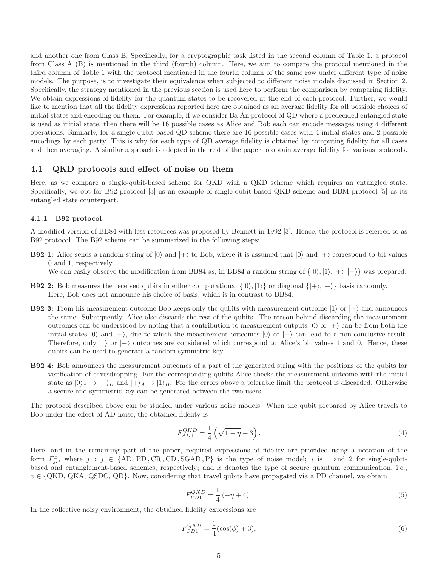and another one from Class B. Specifically, for a cryptographic task listed in the second column of Table 1, a protocol from Class A (B) is mentioned in the third (fourth) column. Here, we aim to compare the protocol mentioned in the third column of Table 1 with the protocol mentioned in the fourth column of the same row under different type of noise models. The purpose, is to investigate their equivalence when subjected to different noise models discussed in Section 2. Specifically, the strategy mentioned in the previous section is used here to perform the comparison by comparing fidelity. We obtain expressions of fidelity for the quantum states to be recovered at the end of each protocol. Further, we would like to mention that all the fidelity expressions reported here are obtained as an average fidelity for all possible choices of initial states and encoding on them. For example, if we consider Ba An protocol of QD where a predecided entangled state is used as initial state, then there will be 16 possible cases as Alice and Bob each can encode messages using 4 different operations. Similarly, for a single-qubit-based QD scheme there are 16 possible cases with 4 initial states and 2 possible encodings by each party. This is why for each type of QD average fidelity is obtained by computing fidelity for all cases and then averaging. A similar approach is adopted in the rest of the paper to obtain average fidelity for various protocols.

#### 4.1 QKD protocols and effect of noise on them

Here, as we compare a single-qubit-based scheme for QKD with a QKD scheme which requires an entangled state. Specifically, we opt for B92 protocol [3] as an example of single-qubit-based QKD scheme and BBM protocol [5] as its entangled state counterpart.

#### 4.1.1 B92 protocol

A modified version of BB84 with less resources was proposed by Bennett in 1992 [3]. Hence, the protocol is referred to as B92 protocol. The B92 scheme can be summarized in the following steps:

- **B92 1:** Alice sends a random string of  $|0\rangle$  and  $|+\rangle$  to Bob, where it is assumed that  $|0\rangle$  and  $|+\rangle$  correspond to bit values 0 and 1, respectively. We can easily observe the modification from BB84 as, in BB84 a random string of  $\{|0\rangle, |1\rangle, |+\rangle, |-\rangle\}$  was prepared.
- **B92 2:** Bob measures the received qubits in either computational  $\{|0\rangle, |1\rangle\}$  or diagonal  $\{|+\rangle, |-\rangle\}$  basis randomly. Here, Bob does not announce his choice of basis, which is in contrast to BB84.
- **B92 3:** From his measurement outcome Bob keeps only the qubits with measurement outcome  $|1\rangle$  or  $|-\rangle$  and announces the same. Subsequently, Alice also discards the rest of the qubits. The reason behind discarding the measurement outcomes can be understood by noting that a contribution to measurement outputs  $|0\rangle$  or  $|+\rangle$  can be from both the initial states  $|0\rangle$  and  $|+\rangle$ , due to which the measurement outcomes  $|0\rangle$  or  $|+\rangle$  can lead to a non-conclusive result. Therefore, only  $|1\rangle$  or  $|-\rangle$  outcomes are considered which correspond to Alice's bit values 1 and 0. Hence, these qubits can be used to generate a random symmetric key.
- B92 4: Bob announces the measurement outcomes of a part of the generated string with the positions of the qubits for verification of eavesdropping. For the corresponding qubits Alice checks the measurement outcome with the initial state as  $|0\rangle_A \rightarrow |-\rangle_B$  and  $|+\rangle_A \rightarrow |1\rangle_B$ . For the errors above a tolerable limit the protocol is discarded. Otherwise a secure and symmetric key can be generated between the two users.

The protocol described above can be studied under various noise models. When the qubit prepared by Alice travels to Bob under the effect of AD noise, the obtained fidelity is

$$
F_{AD1}^{QKD} = \frac{1}{4} \left( \sqrt{1 - \eta} + 3 \right). \tag{4}
$$

Here, and in the remaining part of the paper, required expressions of fidelity are provided using a notation of the form  $F_{ji}^x$ , where  $j : j \in \{AD, PD, CR, CD, SGAD, P\}$  is the type of noise model; i is 1 and 2 for single-qubitbased and entanglement-based schemes, respectively; and  $x$  denotes the type of secure quantum communication, i.e.,  $x \in \{QKD, QKA, QSDC, QD\}$ . Now, considering that travel qubits have propagated via a PD channel, we obtain

$$
F_{PD1}^{QKD} = \frac{1}{4} \left( -\eta + 4 \right). \tag{5}
$$

In the collective noisy environment, the obtained fidelity expressions are

$$
F_{CD1}^{QKD} = \frac{1}{4} (\cos(\phi) + 3),\tag{6}
$$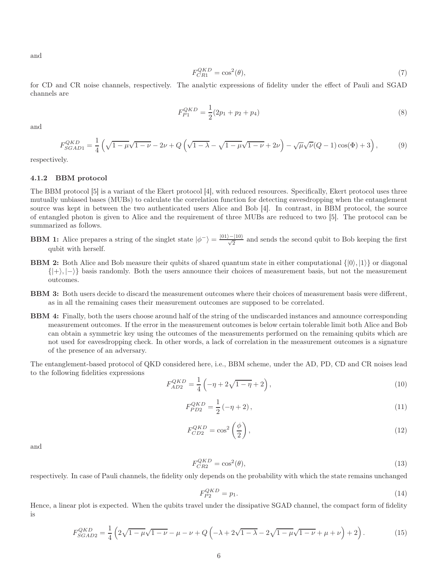and

$$
F_{CR1}^{QKD} = \cos^2(\theta),\tag{7}
$$

for CD and CR noise channels, respectively. The analytic expressions of fidelity under the effect of Pauli and SGAD channels are

$$
F_{P1}^{QKD} = \frac{1}{2}(2p_1 + p_2 + p_4)
$$
\n(8)

and

$$
F_{SGAD1}^{QKD} = \frac{1}{4} \left( \sqrt{1 - \mu} \sqrt{1 - \nu} - 2\nu + Q \left( \sqrt{1 - \lambda} - \sqrt{1 - \mu} \sqrt{1 - \nu} + 2\nu \right) - \sqrt{\mu} \sqrt{\nu} (Q - 1) \cos(\Phi) + 3 \right),
$$
(9)

respectively.

#### 4.1.2 BBM protocol

The BBM protocol [5] is a variant of the Ekert protocol [4], with reduced resources. Specifically, Ekert protocol uses three mutually unbiased bases (MUBs) to calculate the correlation function for detecting eavesdropping when the entanglement source was kept in between the two authenticated users Alice and Bob [4]. In contrast, in BBM protocol, the source of entangled photon is given to Alice and the requirement of three MUBs are reduced to two [5]. The protocol can be summarized as follows.

- **BBM 1:** Alice prepares a string of the singlet state  $|\phi^{-}\rangle = \frac{|01\rangle |10\rangle}{\sqrt{2}}$  and sends the second qubit to Bob keeping the first qubit with herself.
- **BBM 2:** Both Alice and Bob measure their qubits of shared quantum state in either computational  $\{|0\rangle, |1\rangle\}$  or diagonal  $\{|\rangle, |\rangle, |\rangle\}$  basis randomly. Both the users announce their choices of measurement basis, but not the measurement outcomes.
- BBM 3: Both users decide to discard the measurement outcomes where their choices of measurement basis were different, as in all the remaining cases their measurement outcomes are supposed to be correlated.
- BBM 4: Finally, both the users choose around half of the string of the undiscarded instances and announce corresponding measurement outcomes. If the error in the measurement outcomes is below certain tolerable limit both Alice and Bob can obtain a symmetric key using the outcomes of the measurements performed on the remaining qubits which are not used for eavesdropping check. In other words, a lack of correlation in the measurement outcomes is a signature of the presence of an adversary.

The entanglement-based protocol of QKD considered here, i.e., BBM scheme, under the AD, PD, CD and CR noises lead to the following fidelities expressions

$$
F_{AD2}^{QKD} = \frac{1}{4} \left( -\eta + 2\sqrt{1-\eta} + 2 \right),\tag{10}
$$

$$
F_{PD2}^{QKD} = \frac{1}{2} \left( -\eta + 2 \right),\tag{11}
$$

$$
F_{CD2}^{QKD} = \cos^2\left(\frac{\phi}{2}\right),\tag{12}
$$

and

$$
F_{CR2}^{QKD} = \cos^2(\theta),\tag{13}
$$

respectively. In case of Pauli channels, the fidelity only depends on the probability with which the state remains unchanged

$$
F_{P2}^{QKD} = p_1. \tag{14}
$$

Hence, a linear plot is expected. When the qubits travel under the dissipative SGAD channel, the compact form of fidelity is

$$
F_{SGAD2}^{QKD} = \frac{1}{4} \left( 2\sqrt{1 - \mu} \sqrt{1 - \nu} - \mu - \nu + Q \left( -\lambda + 2\sqrt{1 - \lambda} - 2\sqrt{1 - \mu} \sqrt{1 - \nu} + \mu + \nu \right) + 2 \right). \tag{15}
$$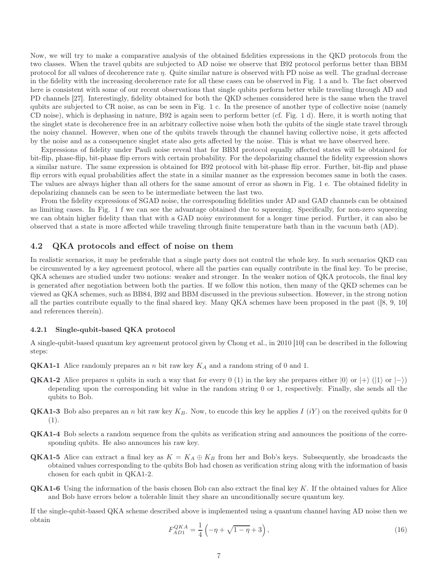Now, we will try to make a comparative analysis of the obtained fidelities expressions in the QKD protocols from the two classes. When the travel qubits are subjected to AD noise we observe that B92 protocol performs better than BBM protocol for all values of decoherence rate  $\eta$ . Quite similar nature is observed with PD noise as well. The gradual decrease in the fidelity with the increasing decoherence rate for all these cases can be observed in Fig. 1 a and b. The fact observed here is consistent with some of our recent observations that single qubits perform better while traveling through AD and PD channels [27]. Interestingly, fidelity obtained for both the QKD schemes considered here is the same when the travel qubits are subjected to CR noise, as can be seen in Fig. 1 c. In the presence of another type of collective noise (namely CD noise), which is dephasing in nature, B92 is again seen to perform better (cf. Fig. 1 d). Here, it is worth noting that the singlet state is decoherence free in an arbitrary collective noise when both the qubits of the single state travel through the noisy channel. However, when one of the qubits travels through the channel having collective noise, it gets affected by the noise and as a consequence singlet state also gets affected by the noise. This is what we have observed here.

Expressions of fidelity under Pauli noise reveal that for BBM protocol equally affected states will be obtained for bit-flip, phase-flip, bit-phase flip errors with certain probability. For the depolarizing channel the fidelity expression shows a similar nature. The same expression is obtained for B92 protocol with bit-phase flip error. Further, bit-flip and phase flip errors with equal probabilities affect the state in a similar manner as the expression becomes same in both the cases. The values are always higher than all others for the same amount of error as shown in Fig. 1 e. The obtained fidelity in depolarizing channels can be seen to be intermediate between the last two.

From the fidelity expressions of SGAD noise, the corresponding fidelities under AD and GAD channels can be obtained as limiting cases. In Fig. 1 f we can see the advantage obtained due to squeezing. Specifically, for non-zero squeezing we can obtain higher fidelity than that with a GAD noisy environment for a longer time period. Further, it can also be observed that a state is more affected while traveling through finite temperature bath than in the vacuum bath (AD).

#### 4.2 QKA protocols and effect of noise on them

In realistic scenarios, it may be preferable that a single party does not control the whole key. In such scenarios QKD can be circumvented by a key agreement protocol, where all the parties can equally contribute in the final key. To be precise, QKA schemes are studied under two notions: weaker and stronger. In the weaker notion of QKA protocols, the final key is generated after negotiation between both the parties. If we follow this notion, then many of the QKD schemes can be viewed as QKA schemes, such as BB84, B92 and BBM discussed in the previous subsection. However, in the strong notion all the parties contribute equally to the final shared key. Many QKA schemes have been proposed in the past ([8, 9, 10] and references therein).

#### 4.2.1 Single-qubit-based QKA protocol

A single-qubit-based quantum key agreement protocol given by Chong et al., in 2010 [10] can be described in the following steps:

- **QKA1-1** Alice randomly prepares an n bit raw key  $K_A$  and a random string of 0 and 1.
- **QKA1-2** Alice prepares n qubits in such a way that for every 0 (1) in the key she prepares either  $|0\rangle$  or  $|+\rangle$  ( $|1\rangle$  or  $|-\rangle$ ) depending upon the corresponding bit value in the random string 0 or 1, respectively. Finally, she sends all the qubits to Bob.
- **QKA1-3** Bob also prepares an n bit raw key  $K_B$ . Now, to encode this key he applies I (iY) on the received qubits for 0 (1).
- QKA1-4 Bob selects a random sequence from the qubits as verification string and announces the positions of the corresponding qubits. He also announces his raw key.
- **QKA1-5** Alice can extract a final key as  $K = K_A \oplus K_B$  from her and Bob's keys. Subsequently, she broadcasts the obtained values corresponding to the qubits Bob had chosen as verification string along with the information of basis chosen for each qubit in QKA1-2.
- QKA1-6 Using the information of the basis chosen Bob can also extract the final key K. If the obtained values for Alice and Bob have errors below a tolerable limit they share an unconditionally secure quantum key.

If the single-qubit-based QKA scheme described above is implemented using a quantum channel having AD noise then we obtain

$$
F_{AD1}^{QKA} = \frac{1}{4} \left( -\eta + \sqrt{1 - \eta} + 3 \right),\tag{16}
$$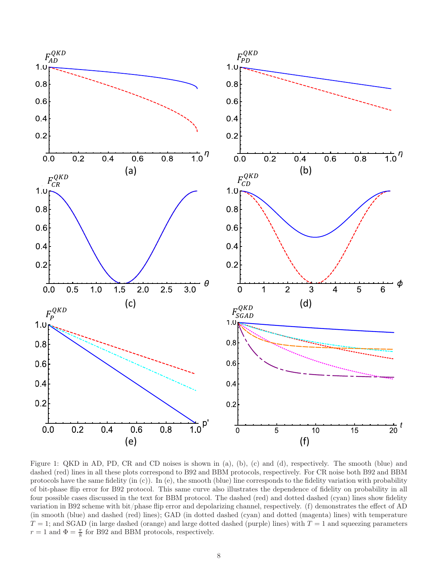

Figure 1: QKD in AD, PD, CR and CD noises is shown in (a), (b), (c) and (d), respectively. The smooth (blue) and dashed (red) lines in all these plots correspond to B92 and BBM protocols, respectively. For CR noise both B92 and BBM protocols have the same fidelity (in (c)). In (e), the smooth (blue) line corresponds to the fidelity variation with probability of bit-phase flip error for B92 protocol. This same curve also illustrates the dependence of fidelity on probability in all four possible cases discussed in the text for BBM protocol. The dashed (red) and dotted dashed (cyan) lines show fidelity variation in B92 scheme with bit/phase flip error and depolarizing channel, respectively. (f) demonstrates the effect of AD (in smooth (blue) and dashed (red) lines); GAD (in dotted dashed (cyan) and dotted (magenta) lines) with temperature  $T = 1$ ; and SGAD (in large dashed (orange) and large dotted dashed (purple) lines) with  $T = 1$  and squeezing parameters  $r = 1$  and  $\Phi = \frac{\pi}{8}$  for B92 and BBM protocols, respectively.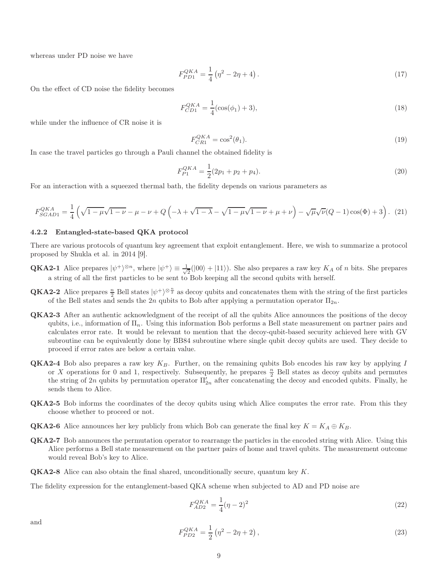whereas under PD noise we have

$$
F_{PD1}^{QKA} = \frac{1}{4} \left( \eta^2 - 2\eta + 4 \right). \tag{17}
$$

On the effect of CD noise the fidelity becomes

$$
F_{CD1}^{QKA} = \frac{1}{4} (\cos(\phi_1) + 3),\tag{18}
$$

while under the influence of CR noise it is

$$
F_{CRI}^{QKA} = \cos^2(\theta_1). \tag{19}
$$

In case the travel particles go through a Pauli channel the obtained fidelity is

$$
F_{P1}^{QKA} = \frac{1}{2}(2p_1 + p_2 + p_4). \tag{20}
$$

For an interaction with a squeezed thermal bath, the fidelity depends on various parameters as

$$
F_{SGAD1}^{QKA} = \frac{1}{4} \left( \sqrt{1 - \mu} \sqrt{1 - \nu} - \mu - \nu + Q \left( -\lambda + \sqrt{1 - \lambda} - \sqrt{1 - \mu} \sqrt{1 - \nu} + \mu + \nu \right) - \sqrt{\mu} \sqrt{\nu} (Q - 1) \cos(\Phi) + 3 \right). (21)
$$

#### 4.2.2 Entangled-state-based QKA protocol

There are various protocols of quantum key agreement that exploit entanglement. Here, we wish to summarize a protocol proposed by Shukla et al. in 2014 [9].

- **QKA2-1** Alice prepares  $|\psi^+\rangle^{\otimes n}$ , where  $|\psi^+\rangle \equiv \frac{1}{\sqrt{n}}$  $\frac{1}{2}(|00\rangle + |11\rangle)$ . She also prepares a raw key  $K_A$  of *n* bits. She prepares a string of all the first particles to be sent to Bob keeping all the second qubits with herself.
- **QKA2-2** Alice prepares  $\frac{n}{2}$  Bell states  $|\psi^+\rangle^{\otimes \frac{n}{2}}$  as decoy qubits and concatenates them with the string of the first particles of the Bell states and sends the 2n qubits to Bob after applying a permutation operator  $\Pi_{2n}$ .
- QKA2-3 After an authentic acknowledgment of the receipt of all the qubits Alice announces the positions of the decoy qubits, i.e., information of  $\Pi_n$ . Using this information Bob performs a Bell state measurement on partner pairs and calculates error rate. It would be relevant to mention that the decoy-qubit-based security achieved here with GV subroutine can be equivalently done by BB84 subroutine where single qubit decoy qubits are used. They decide to proceed if error rates are below a certain value.
- **QKA2-4** Bob also prepares a raw key  $K_B$ . Further, on the remaining qubits Bob encodes his raw key by applying I or X operations for 0 and 1, respectively. Subsequently, he prepares  $\frac{n}{2}$  Bell states as decoy qubits and permutes the string of 2n qubits by permutation operator  $\Pi'_{2n}$  after concatenating the decoy and encoded qubits. Finally, he sends them to Alice.
- QKA2-5 Bob informs the coordinates of the decoy qubits using which Alice computes the error rate. From this they choose whether to proceed or not.
- **QKA2-6** Alice announces her key publicly from which Bob can generate the final key  $K = K_A \oplus K_B$ .
- QKA2-7 Bob announces the permutation operator to rearrange the particles in the encoded string with Alice. Using this Alice performs a Bell state measurement on the partner pairs of home and travel qubits. The measurement outcome would reveal Bob's key to Alice.
- QKA2-8 Alice can also obtain the final shared, unconditionally secure, quantum key K.

The fidelity expression for the entanglement-based QKA scheme when subjected to AD and PD noise are

$$
F_{AD2}^{QKA} = \frac{1}{4}(\eta - 2)^2
$$
\n(22)

and

$$
F_{PD2}^{QKA} = \frac{1}{2} \left( \eta^2 - 2\eta + 2 \right),\tag{23}
$$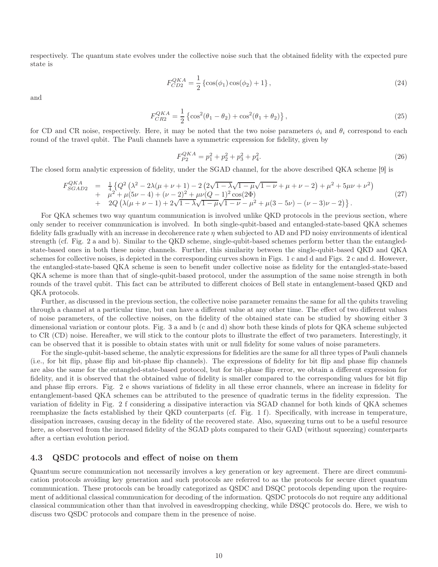respectively. The quantum state evolves under the collective noise such that the obtained fidelity with the expected pure state is

$$
F_{CD2}^{QKA} = \frac{1}{2} \left\{ \cos(\phi_1) \cos(\phi_2) + 1 \right\},\tag{24}
$$

and

$$
F_{CR2}^{QKA} = \frac{1}{2} \left\{ \cos^2(\theta_1 - \theta_2) + \cos^2(\theta_1 + \theta_2) \right\},\tag{25}
$$

for CD and CR noise, respectively. Here, it may be noted that the two noise parameters  $\phi_i$  and  $\theta_i$  correspond to each round of the travel qubit. The Pauli channels have a symmetric expression for fidelity, given by

$$
F_{P2}^{QKA} = p_1^2 + p_2^2 + p_3^2 + p_4^2.
$$
\n(26)

The closed form analytic expression of fidelity, under the SGAD channel, for the above described QKA scheme [9] is

$$
F_{SGAD2}^{QKA} = \frac{1}{4} \{ Q^2 (\lambda^2 - 2\lambda(\mu + \nu + 1) - 2 (2\sqrt{1 - \lambda}\sqrt{1 - \mu}\sqrt{1 - \nu} + \mu + \nu - 2) + \mu^2 + 5\mu\nu + \nu^2) + \mu^2 + \mu(5\nu - 4) + (\nu - 2)^2 + \mu\nu(Q - 1)^2 \cos(2\Phi) + 2Q (\lambda(\mu + \nu - 1) + 2\sqrt{1 - \lambda}\sqrt{1 - \mu}\sqrt{1 - \nu} - \mu^2 + \mu(3 - 5\nu) - (\nu - 3)\nu - 2) \}.
$$
\n(27)

For QKA schemes two way quantum communication is involved unlike QKD protocols in the previous section, where only sender to receiver communication is involved. In both single-qubit-based and entangled-state-based QKA schemes fidelity falls gradually with an increase in decoherence rate  $\eta$  when subjected to AD and PD noisy environments of identical strength (cf. Fig. 2 a and b). Similar to the QKD scheme, single-qubit-based schemes perform better than the entangledstate-based ones in both these noisy channels. Further, this similarity between the single-qubit-based QKD and QKA schemes for collective noises, is depicted in the corresponding curves shown in Figs. 1 c and d and Figs. 2 c and d. However, the entangled-state-based QKA scheme is seen to benefit under collective noise as fidelity for the entangled-state-based QKA scheme is more than that of single-qubit-based protocol, under the assumption of the same noise strength in both rounds of the travel qubit. This fact can be attributed to different choices of Bell state in entanglement-based QKD and QKA protocols.

Further, as discussed in the previous section, the collective noise parameter remains the same for all the qubits traveling through a channel at a particular time, but can have a different value at any other time. The effect of two different values of noise parameters, of the collective noises, on the fidelity of the obtained state can be studied by showing either 3 dimensional variation or contour plots. Fig. 3 a and b (c and d) show both these kinds of plots for QKA scheme subjected to CR (CD) noise. Hereafter, we will stick to the contour plots to illustrate the effect of two parameters. Interestingly, it can be observed that it is possible to obtain states with unit or null fidelity for some values of noise parameters.

For the single-qubit-based scheme, the analytic expressions for fidelities are the same for all three types of Pauli channels (i.e., for bit flip, phase flip and bit-phase flip channels). The expressions of fidelity for bit flip and phase flip channels are also the same for the entangled-state-based protocol, but for bit-phase flip error, we obtain a different expression for fidelity, and it is observed that the obtained value of fidelity is smaller compared to the corresponding values for bit flip and phase flip errors. Fig. 2 e shows variations of fidelity in all these error channels, where an increase in fidelity for entanglement-based QKA schemes can be attributed to the presence of quadratic terms in the fidelity expression. The variation of fidelity in Fig. 2 f considering a dissipative interaction via SGAD channel for both kinds of QKA schemes reemphasize the facts established by their QKD counterparts (cf. Fig. 1 f). Specifically, with increase in temperature, dissipation increases, causing decay in the fidelity of the recovered state. Also, squeezing turns out to be a useful resource here, as observed from the increased fidelity of the SGAD plots compared to their GAD (without squeezing) counterparts after a certian evolution period.

#### 4.3 QSDC protocols and effect of noise on them

Quantum secure communication not necessarily involves a key generation or key agreement. There are direct communication protocols avoiding key generation and such protocols are referred to as the protocols for secure direct quantum communication. These protocols can be broadly categorized as QSDC and DSQC protocols depending upon the requirement of additional classical communication for decoding of the information. QSDC protocols do not require any additional classical communication other than that involved in eavesdropping checking, while DSQC protocols do. Here, we wish to discuss two QSDC protocols and compare them in the presence of noise.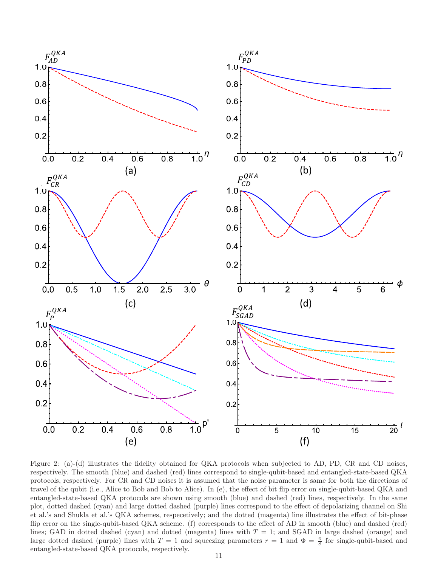

Figure 2: (a)-(d) illustrates the fidelity obtained for QKA protocols when subjected to AD, PD, CR and CD noises, respectively. The smooth (blue) and dashed (red) lines correspond to single-qubit-based and entangled-state-based QKA protocols, respectively. For CR and CD noises it is assumed that the noise parameter is same for both the directions of travel of the qubit (i.e., Alice to Bob and Bob to Alice). In (e), the effect of bit flip error on single-qubit-based QKA and entangled-state-based QKA protocols are shown using smooth (blue) and dashed (red) lines, respectively. In the same plot, dotted dashed (cyan) and large dotted dashed (purple) lines correspond to the effect of depolarizing channel on Shi et al.'s and Shukla et al.'s QKA schemes, respecetively; and the dotted (magenta) line illustrates the effect of bit-phase flip error on the single-qubit-based QKA scheme. (f) corresponds to the effect of AD in smooth (blue) and dashed (red) lines; GAD in dotted dashed (cyan) and dotted (magenta) lines with  $T = 1$ ; and SGAD in large dashed (orange) and large dotted dashed (purple) lines with  $T = 1$  and squeezing parameters  $r = 1$  and  $\Phi = \frac{\pi}{8}$  for single-qubit-based and entangled-state-based QKA protocols, respectively.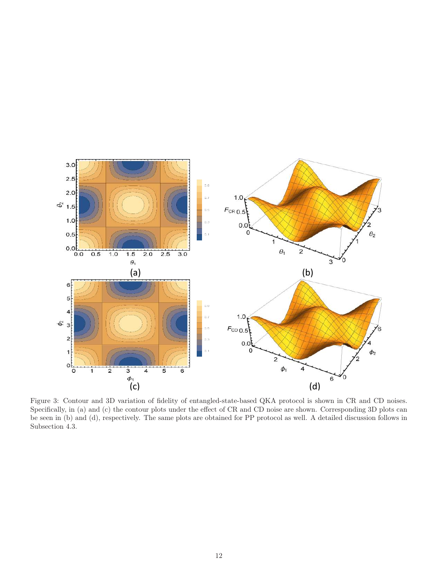

Specifically, in (a) and (c) the contour plots under the effect of CR and CD noise are shown. Corresponding 3D plots can be seen in (b) and (d), respectively. The same plots are obtained for PP protocol as well. A detailed discussion follows in Subsection 4.3.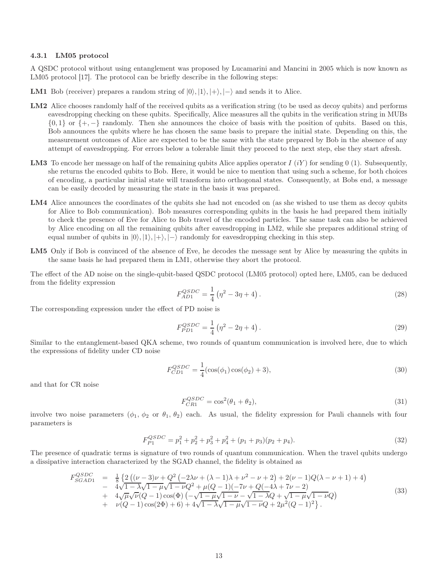#### 4.3.1 LM05 protocol

A QSDC protocol without using entanglement was proposed by Lucamarini and Mancini in 2005 which is now known as LM05 protocol [17]. The protocol can be briefly describe in the following steps:

**LM1** Bob (receiver) prepares a random string of  $|0\rangle, |1\rangle, |+\rangle, |-\rangle$  and sends it to Alice.

- LM2 Alice chooses randomly half of the received qubits as a verification string (to be used as decoy qubits) and performs eavesdropping checking on these qubits. Specifically, Alice measures all the qubits in the verification string in MUBs  $\{0,1\}$  or  $\{+,-\}$  randomly. Then she announces the choice of basis with the position of qubits. Based on this, Bob announces the qubits where he has chosen the same basis to prepare the initial state. Depending on this, the measurement outcomes of Alice are expected to be the same with the state prepared by Bob in the absence of any attempt of eavesdropping. For errors below a tolerable limit they proceed to the next step, else they start afresh.
- **LM3** To encode her message on half of the remaining qubits Alice applies operator  $I(iY)$  for sending 0 (1). Subsequently, she returns the encoded qubits to Bob. Here, it would be nice to mention that using such a scheme, for both choices of encoding, a particular initial state will transform into orthogonal states. Consequently, at Bobs end, a message can be easily decoded by measuring the state in the basis it was prepared.
- LM4 Alice announces the coordinates of the qubits she had not encoded on (as she wished to use them as decoy qubits for Alice to Bob communication). Bob measures corresponding qubits in the basis he had prepared them initially to check the presence of Eve for Alice to Bob travel of the encoded particles. The same task can also be achieved by Alice encoding on all the remaining qubits after eavesdropping in LM2, while she prepares additional string of equal number of qubits in  $|0\rangle, |1\rangle, |+\rangle, |-\rangle$  randomly for eavesdropping checking in this step.
- LM5 Only if Bob is convinced of the absence of Eve, he decodes the message sent by Alice by measuring the qubits in the same basis he had prepared them in LM1, otherwise they abort the protocol.

The effect of the AD noise on the single-qubit-based QSDC protocol (LM05 protocol) opted here, LM05, can be deduced from the fidelity expression

$$
F_{AD1}^{QSDC} = \frac{1}{4} \left( \eta^2 - 3\eta + 4 \right). \tag{28}
$$

The corresponding expression under the effect of PD noise is

$$
F_{PD1}^{QSDC} = \frac{1}{4} \left( \eta^2 - 2\eta + 4 \right). \tag{29}
$$

Similar to the entanglement-based QKA scheme, two rounds of quantum communication is involved here, due to which the expressions of fidelity under CD noise

$$
F_{CD1}^{QSDC} = \frac{1}{4} (\cos(\phi_1)\cos(\phi_2) + 3),\tag{30}
$$

and that for CR noise

$$
F_{CR1}^{QSDC} = \cos^2(\theta_1 + \theta_2),
$$
\n(31)

involve two noise parameters  $(\phi_1, \phi_2 \text{ or } \theta_1, \theta_2)$  each. As usual, the fidelity expression for Pauli channels with four parameters is

$$
F_{P1}^{QSDC} = p_1^2 + p_2^2 + p_3^2 + p_4^2 + (p_1 + p_3)(p_2 + p_4). \tag{32}
$$

The presence of quadratic terms is signature of two rounds of quantum communication. When the travel qubits undergo a dissipative interaction characterized by the SGAD channel, the fidelity is obtained as

$$
F_{SGAD1}^{QSDC} = \frac{1}{8} \left\{ 2 \left( (\nu - 3)\nu + Q^2 \left( -2\lambda\nu + (\lambda - 1)\lambda + \nu^2 - \nu + 2 \right) + 2(\nu - 1)Q(\lambda - \nu + 1) + 4 \right) \right. \\ - 4\sqrt{1 - \lambda}\sqrt{1 - \mu}\sqrt{1 - \nu}Q^2 + \mu(Q - 1)(-7\nu + Q(-4\lambda + 7\nu - 2) \\ + 4\sqrt{\mu}\sqrt{\nu}(Q - 1)\cos(\Phi) \left( -\sqrt{1 - \mu}\sqrt{1 - \nu} - \sqrt{1 - \lambda}Q + \sqrt{1 - \mu}\sqrt{1 - \nu}Q \right) \\ + \nu(Q - 1)\cos(2\Phi) + 6) + 4\sqrt{1 - \lambda}\sqrt{1 - \mu}\sqrt{1 - \nu}Q + 2\mu^2(Q - 1)^2 \right\} . \tag{33}
$$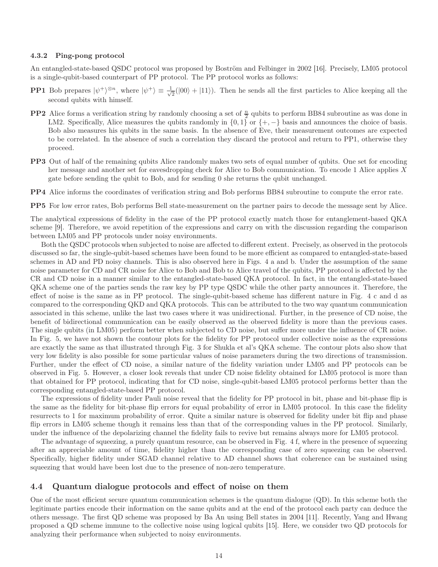#### 4.3.2 Ping-pong protocol

An entangled-state-based QSDC protocol was proposed by Boström and Felbinger in 2002 [16]. Precisely, LM05 protocol is a single-qubit-based counterpart of PP protocol. The PP protocol works as follows:

- **PP1** Bob prepares  $|\psi^+\rangle^{\otimes n}$ , where  $|\psi^+\rangle \equiv \frac{1}{\sqrt{n}}$  $\frac{1}{2}(|00\rangle + |11\rangle)$ . Then he sends all the first particles to Alice keeping all the second qubits with himself.
- **PP2** Alice forms a verification string by randomly choosing a set of  $\frac{n}{2}$  qubits to perform BB84 subroutine as was done in LM2. Specifically, Alice measures the qubits randomly in  $\{0, 1\}$  or  $\{+, -\}$  basis and announces the choice of basis. Bob also measures his qubits in the same basis. In the absence of Eve, their measurement outcomes are expected to be correlated. In the absence of such a correlation they discard the protocol and return to PP1, otherwise they proceed.
- PP3 Out of half of the remaining qubits Alice randomly makes two sets of equal number of qubits. One set for encoding her message and another set for eavesdropping check for Alice to Bob communication. To encode 1 Alice applies X gate before sending the qubit to Bob, and for sending 0 she returns the qubit unchanged.
- PP4 Alice informs the coordinates of verification string and Bob performs BB84 subroutine to compute the error rate.

PP5 For low error rates, Bob performs Bell state-measurement on the partner pairs to decode the message sent by Alice.

The analytical expressions of fidelity in the case of the PP protocol exactly match those for entanglement-based QKA scheme [9]. Therefore, we avoid repetition of the expressions and carry on with the discussion regarding the comparison between LM05 and PP protocols under noisy environments.

Both the QSDC protocols when subjected to noise are affected to different extent. Precisely, as observed in the protocols discussed so far, the single-qubit-based schemes have been found to be more efficient as compared to entangled-state-based schemes in AD and PD noisy channels. This is also observed here in Figs. 4 a and b. Under the assumption of the same noise parameter for CD and CR noise for Alice to Bob and Bob to Alice travel of the qubits, PP protocol is affected by the CR and CD noise in a manner similar to the entangled-state-based QKA protocol. In fact, in the entangled-state-based QKA scheme one of the parties sends the raw key by PP type QSDC while the other party announces it. Therefore, the effect of noise is the same as in PP protocol. The single-qubit-based scheme has different nature in Fig. 4 c and d as compared to the corresponding QKD and QKA protocols. This can be attributed to the two way quantum communication associated in this scheme, unlike the last two cases where it was unidirectional. Further, in the presence of CD noise, the benefit of bidirectional communication can be easily observed as the observed fidelity is more than the previous cases. The single qubits (in LM05) perform better when subjected to CD noise, but suffer more under the influence of CR noise. In Fig. 5, we have not shown the contour plots for the fidelity for PP protocol under collective noise as the expressions are exactly the same as that illustrated through Fig. 3 for Shukla et al's QKA scheme. The contour plots also show that very low fidelity is also possible for some particular values of noise parameters during the two directions of transmission. Further, under the effect of CD noise, a similar nature of the fidelity variation under LM05 and PP protocols can be observed in Fig. 5. However, a closer look reveals that under CD noise fidelity obtained for LM05 protocol is more than that obtained for PP protocol, indicating that for CD noise, single-qubit-based LM05 protocol performs better than the corresponding entangled-state-based PP protocol.

The expressions of fidelity under Pauli noise reveal that the fidelity for PP protocol in bit, phase and bit-phase flip is the same as the fidelity for bit-phase flip errors for equal probability of error in LM05 protocol. In this case the fidelity resurrects to 1 for maximum probability of error. Quite a similar nature is observed for fidelity under bit flip and phase flip errors in LM05 scheme though it remains less than that of the corresponding values in the PP protocol. Similarly, under the influence of the depolarizing channel the fidelity fails to revive but remains always more for LM05 protocol.

The advantage of squeezing, a purely quantum resource, can be observed in Fig. 4 f, where in the presence of squeezing after an appreciable amount of time, fidelity higher than the corresponding case of zero squeezing can be observed. Specifically, higher fidelity under SGAD channel relative to AD channel shows that coherence can be sustained using squeezing that would have been lost due to the presence of non-zero temperature.

#### 4.4 Quantum dialogue protocols and effect of noise on them

One of the most efficient secure quantum communication schemes is the quantum dialogue (QD). In this scheme both the legitimate parties encode their information on the same qubits and at the end of the protocol each party can deduce the others message. The first QD scheme was proposed by Ba An using Bell states in 2004 [11]. Recently, Yang and Hwang proposed a QD scheme immune to the collective noise using logical qubits [15]. Here, we consider two QD protocols for analyzing their performance when subjected to noisy environments.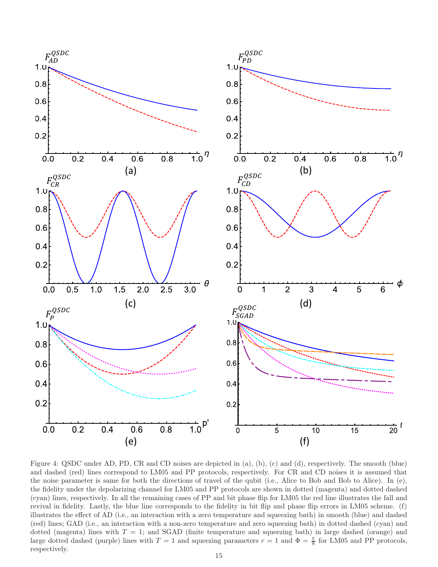

Figure 4: QSDC under AD, PD, CR and CD noises are depicted in (a), (b), (c) and (d), respectively. The smooth (blue) and dashed (red) lines correspond to LM05 and PP protocols, respectively. For CR and CD noises it is assumed that the noise parameter is same for both the directions of travel of the qubit (i.e., Alice to Bob and Bob to Alice). In (e), the fidelity under the depolarizing channel for LM05 and PP protocols are shown in dotted (magenta) and dotted dashed (cyan) lines, respectively. In all the remaining cases of PP and bit phase flip for LM05 the red line illustrates the fall and revival in fidelity. Lastly, the blue line corresponds to the fidelity in bit flip and phase flip errors in LM05 scheme. (f) illustrates the effect of AD (i.e., an interaction with a zero temperature and squeezing bath) in smooth (blue) and dashed (red) lines; GAD (i.e., an interaction with a non-zero temperature and zero squeezing bath) in dotted dashed (cyan) and dotted (magenta) lines with  $T = 1$ ; and SGAD (finite temperature and squeezing bath) in large dashed (orange) and large dotted dashed (purple) lines with  $T = 1$  and squeezing parameters  $r = 1$  and  $\Phi = \frac{\pi}{8}$  for LM05 and PP protocols, respectively.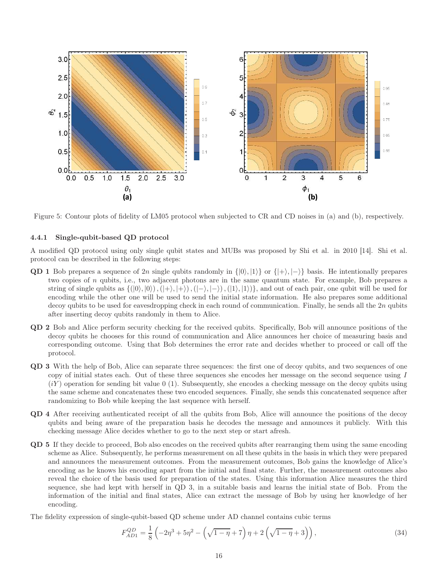

Figure 5: Contour plots of fidelity of LM05 protocol when subjected to CR and CD noises in (a) and (b), respectively.

#### 4.4.1 Single-qubit-based QD protocol

A modified QD protocol using only single qubit states and MUBs was proposed by Shi et al. in 2010 [14]. Shi et al. protocol can be described in the following steps:

- QD 1 Bob prepares a sequence of 2n single qubits randomly in  $\{|0\rangle, |1\rangle\}$  or  $\{|+\rangle, |-\rangle\}$  basis. He intentionally prepares two copies of  $n$  qubits, i.e., two adjacent photons are in the same quantum state. For example, Bob prepares a string of single qubits as  $\{(|0\rangle, |0\rangle),(|+\rangle, |+\rangle),(|-\rangle, |-\rangle),(|1\rangle, |1\rangle)\}$ , and out of each pair, one qubit will be used for encoding while the other one will be used to send the initial state information. He also prepares some additional decoy qubits to be used for eavesdropping check in each round of communication. Finally, he sends all the  $2n$  qubits after inserting decoy qubits randomly in them to Alice.
- QD 2 Bob and Alice perform security checking for the received qubits. Specifically, Bob will announce positions of the decoy qubits he chooses for this round of communication and Alice announces her choice of measuring basis and corresponding outcome. Using that Bob determines the error rate and decides whether to proceed or call off the protocol.
- QD 3 With the help of Bob, Alice can separate three sequences: the first one of decoy qubits, and two sequences of one copy of initial states each. Out of these three sequences she encodes her message on the second sequence using I  $(iY)$  operation for sending bit value 0 (1). Subsequently, she encodes a checking message on the decoy qubits using the same scheme and concatenates these two encoded sequences. Finally, she sends this concatenated sequence after randomizing to Bob while keeping the last sequence with herself.
- QD 4 After receiving authenticated receipt of all the qubits from Bob, Alice will announce the positions of the decoy qubits and being aware of the preparation basis he decodes the message and announces it publicly. With this checking message Alice decides whether to go to the next step or start afresh.
- QD 5 If they decide to proceed, Bob also encodes on the received qubits after rearranging them using the same encoding scheme as Alice. Subsequently, he performs measurement on all these qubits in the basis in which they were prepared and announces the measurement outcomes. From the measurement outcomes, Bob gains the knowledge of Alice's encoding as he knows his encoding apart from the initial and final state. Further, the measurement outcomes also reveal the choice of the basis used for preparation of the states. Using this information Alice measures the third sequence, she had kept with herself in QD 3, in a suitable basis and learns the initial state of Bob. From the information of the initial and final states, Alice can extract the message of Bob by using her knowledge of her encoding.
- The fidelity expression of single-qubit-based QD scheme under AD channel contains cubic terms

$$
F_{AD1}^{QD} = \frac{1}{8} \left( -2\eta^3 + 5\eta^2 - \left( \sqrt{1-\eta} + 7 \right) \eta + 2 \left( \sqrt{1-\eta} + 3 \right) \right),\tag{34}
$$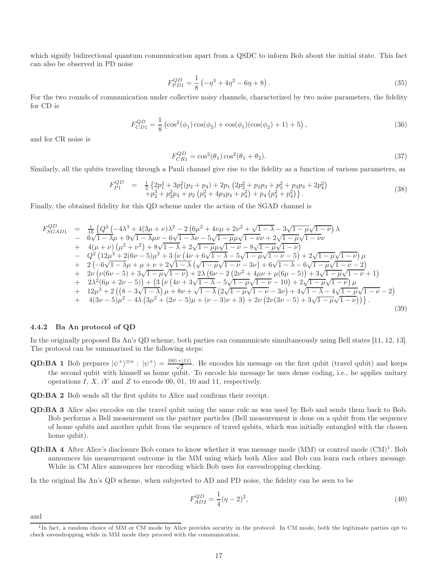which signify bidirectional quantum communication apart from a QSDC to inform Bob about the initial state. This fact can also be observed in PD noise

$$
F_{PD1}^{QD} = \frac{1}{8} \left( -\eta^3 + 4\eta^2 - 6\eta + 8 \right). \tag{35}
$$

For the two rounds of communication under collective noisy channels, characterized by two noise parameters, the fidelity for CD is

$$
F_{CD1}^{QD} = \frac{1}{8} \left( \cos^2(\phi_1) \cos(\phi_2) + \cos(\phi_1) (\cos(\phi_2) + 1) + 5 \right),\tag{36}
$$

and for CR noise is

$$
F_{CR1}^{QD} = \cos^2(\theta_1)\cos^2(\theta_1 + \theta_2). \tag{37}
$$

Similarly, all the qubits traveling through a Pauli channel give rise to the fidelity as a function of various parameters, as

$$
F_{P1}^{QD} = \frac{1}{2} \left\{ 2p_1^3 + 3p_1^2(p_2 + p_4) + 2p_1 (2p_2^2 + p_2p_3 + p_3^2 + p_3p_4 + 2p_4^2) + p_2^3 + p_2^2p_4 + p_2 (p_3^2 + 4p_3p_4 + p_4^2) + p_4 (p_3^2 + p_4^2) \right\}.
$$
\n(38)

Finally, the obtained fidelity for this QD scheme under the action of the SGAD channel is

$$
F_{SGAD1}^{QD} = \frac{1}{16} \left\{ Q^3 \left( -4\lambda^3 + 4(3\mu + \nu)\lambda^2 - 2\left( 6\mu^2 + 4\nu\mu + 2\nu^2 + \sqrt{1 - \lambda} - 3\sqrt{1 - \mu}\sqrt{1 - \nu} \right) \lambda \right. \\ - 6\sqrt{1 - \lambda}\mu + 9\sqrt{1 - \lambda}\mu\nu - 6\sqrt{1 - \lambda}\nu - 5\sqrt{1 - \mu}\mu\sqrt{1 - \nu}\nu + 2\sqrt{1 - \mu}\sqrt{1 - \nu}\nu \right. \\ + 4(\mu + \nu)\left(\mu^2 + \nu^2\right) + 8\sqrt{1 - \lambda} + 2\sqrt{1 - \mu}\mu\sqrt{1 - \nu} - 8\sqrt{1 - \mu}\sqrt{1 - \nu}\right) \\ - Q^2 \left( 12\mu^3 + 2(6\nu - 5)\mu^2 + 3\left(\nu\left(4\nu + 6\sqrt{1 - \lambda} - 5\sqrt{1 - \mu}\sqrt{1 - \nu} - 5\right) + 2\sqrt{1 - \mu}\sqrt{1 - \nu}\right)\mu \right. \\ + 2(-6\sqrt{1 - \lambda}\mu + \mu + \nu + 2\sqrt{1 - \lambda}\left(\sqrt{1 - \mu}\sqrt{1 - \nu} - 3\nu\right) + 6\sqrt{1 - \lambda} - 6\sqrt{1 - \mu}\sqrt{1 - \nu} - 2) \\ + 2\nu\left(\nu(6\nu - 5) + 3\sqrt{1 - \mu}\sqrt{1 - \nu}\right) + 2\lambda\left(6\nu - 2\left(2\nu^2 + 4\mu\nu + \mu(6\mu - 5)\right) + 3\sqrt{1 - \mu}\sqrt{1 - \nu} + 1\right) \\ + 2\lambda^2(6\mu + 2\nu - 5)\right) + \left(3\left(\nu\left(4\nu + 3\sqrt{1 - \lambda} - 5\sqrt{1 - \mu}\sqrt{1 - \nu} - 10\right) + 2\sqrt{1 - \mu}\sqrt{1 - \nu} + 1\right) \\ + 12\mu^3 + 2\left((8 - 3\sqrt{1 - \lambda})\mu + 8\nu + \sqrt{1 - \lambda}\left(2\sqrt{1 - \mu}\sqrt{1 - \nu} - 3\nu\right) + 4\sqrt{1 - \lambda} - 4\sqrt{1 - \mu}\sqrt{1 - \nu} - 2
$$

#### 4.4.2 Ba An protocol of QD

In the originally proposed Ba An's QD scheme, both parties can communicate simultaneously using Bell states [11, 12, 13]. The protocol can be summarized in the following steps:

- **QD:BA 1** Bob prepares  $|\psi^+\rangle^{\otimes n}$ :  $|\psi^+\rangle = \frac{|00\rangle+|11\rangle}{\sqrt{2}}$ . He encodes his message on the first qubit (travel qubit) and keeps the second qubit with himself as home qubit. To encode his message he uses dense coding, i.e., he applies unitary operations  $I, X, iY$  and  $Z$  to encode 00, 01, 10 and 11, respectively.
- QD:BA 2 Bob sends all the first qubits to Alice and confirms their receipt.
- QD:BA 3 Alice also encodes on the travel qubit using the same rule as was used by Bob and sends them back to Bob. Bob performs a Bell measurement on the partner particles (Bell measurement is done on a qubit from the sequence of home qubits and another qubit from the sequence of travel qubits, which was initially entangled with the chosen home qubit).
- **QD:BA 4** After Alice's disclosure Bob comes to know whether it was message mode  $(MM)$  or control mode  $(CM)^1$ . Bob announces his measurement outcome in the MM using which both Alice and Bob can learn each others message. While in CM Alice announces her encoding which Bob uses for eavesdropping checking.

In the original Ba An's QD scheme, when subjected to AD and PD noise, the fidelity can be seen to be

$$
F_{AD2}^{QD} = \frac{1}{4}(\eta - 2)^2,\tag{40}
$$

and

<sup>&</sup>lt;sup>1</sup>In fact, a random choice of MM or CM mode by Alice provides security in the protocol. In CM mode, both the legitimate parties opt to check eavesdropping while in MM mode they proceed with the communication.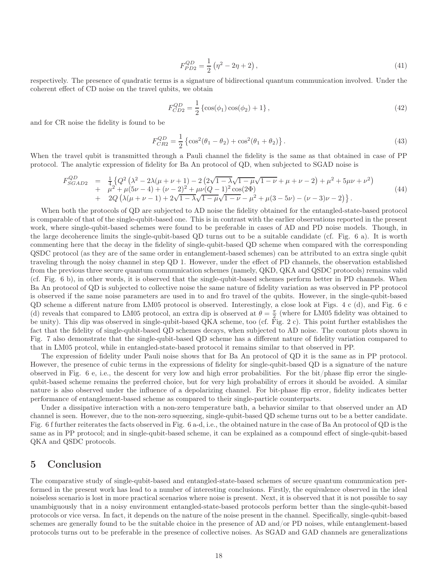$$
F_{PD2}^{QD} = \frac{1}{2} \left( \eta^2 - 2\eta + 2 \right),\tag{41}
$$

respectively. The presence of quadratic terms is a signature of bidirectional quantum communication involved. Under the coherent effect of CD noise on the travel qubits, we obtain

$$
F_{CD2}^{QD} = \frac{1}{2} \left\{ \cos(\phi_1) \cos(\phi_2) + 1 \right\},\tag{42}
$$

and for CR noise the fidelity is found to be

$$
F_{CR2}^{QD} = \frac{1}{2} \left\{ \cos^2(\theta_1 - \theta_2) + \cos^2(\theta_1 + \theta_2) \right\}.
$$
 (43)

When the travel qubit is transmitted through a Pauli channel the fidelity is the same as that obtained in case of PP protocol. The analytic expression of fidelity for Ba An protocol of QD, when subjected to SGAD noise is

$$
F_{SGAD2}^{QD} = \frac{1}{4} \left\{ Q^2 \left( \lambda^2 - 2\lambda(\mu + \nu + 1) - 2 \left( 2\sqrt{1 - \lambda} \sqrt{1 - \mu} \sqrt{1 - \nu} + \mu + \nu - 2 \right) + \mu^2 + 5\mu\nu + \nu^2 \right) \right. \\ \left. + \mu^2 + \mu(5\nu - 4) + (\nu - 2)^2 + \mu\nu(Q - 1)^2 \cos(2\Phi) \right. \\ \left. + 2Q \left( \lambda(\mu + \nu - 1) + 2\sqrt{1 - \lambda} \sqrt{1 - \mu} \sqrt{1 - \nu} - \mu^2 + \mu(3 - 5\nu) - (\nu - 3)\nu - 2 \right) \right\} . \tag{44}
$$

When both the protocols of QD are subjected to AD noise the fidelity obtained for the entangled-state-based protocol is comparable of that of the single-qubit-based one. This is in contrast with the earlier observations reported in the present work, where single-qubit-based schemes were found to be preferable in cases of AD and PD noise models. Though, in the large decoherence limits the single-qubit-based QD turns out to be a suitable candidate (cf. Fig. 6 a). It is worth commenting here that the decay in the fidelity of single-qubit-based QD scheme when compared with the corresponding QSDC protocol (as they are of the same order in entanglement-based schemes) can be attributed to an extra single qubit traveling through the noisy channel in step QD 1. However, under the effect of PD channels, the observation established from the previous three secure quantum communication schemes (namely, QKD, QKA and QSDC protocols) remains valid (cf. Fig. 6 b), in other words, it is observed that the single-qubit-based schemes perform better in PD channels. When Ba An protocol of QD is subjected to collective noise the same nature of fidelity variation as was observed in PP protocol is observed if the same noise parameters are used in to and fro travel of the qubits. However, in the single-qubit-based QD scheme a different nature from LM05 protocol is observed. Interestingly, a close look at Figs. 4 c (d), and Fig. 6 c (d) reveals that compared to LM05 protocol, an extra dip is observed at  $\theta = \frac{\pi}{2}$  (where for LM05 fidelity was obtained to be unity). This dip was observed in single-qubit-based QKA scheme, too (cf. Fig. 2 c). This point further establishes the fact that the fidelity of single-qubit-based QD schemes decays, when subjected to AD noise. The contour plots shown in Fig. 7 also demonstrate that the single-qubit-based QD scheme has a different nature of fidelity variation compared to that in LM05 protcol, while in entangled-state-based protocol it remains similar to that observed in PP.

The expression of fidelity under Pauli noise shows that for Ba An protocol of QD it is the same as in PP protocol. However, the presence of cubic terms in the expressions of fidelity for single-qubit-based QD is a signature of the nature observed in Fig. 6 e, i.e., the descent for very low and high error probabilities. For the bit/phase flip error the singlequbit-based scheme remains the preferred choice, but for very high probability of errors it should be avoided. A similar nature is also observed under the influence of a depolarizing channel. For bit-phase flip error, fidelity indicates better performance of entanglement-based scheme as compared to their single-particle counterparts.

Under a dissipative interaction with a non-zero temperature bath, a behavior similar to that observed under an AD channel is seen. However, due to the non-zero squeezing, single-qubit-based QD scheme turns out to be a better candidate. Fig. 6 f further reiterates the facts observed in Fig. 6 a-d, i.e., the obtained nature in the case of Ba An protocol of QD is the same as in PP protocol; and in single-qubit-based scheme, it can be explained as a compound effect of single-qubit-based QKA and QSDC protocols.

## 5 Conclusion

The comparative study of single-qubit-based and entangled-state-based schemes of secure quantum communication performed in the present work has lead to a number of interesting conclusions. Firstly, the equivalence observed in the ideal noiseless scenario is lost in more practical scenarios where noise is present. Next, it is observed that it is not possible to say unambiguously that in a noisy environment entangled-state-based protocols perform better than the single-qubit-based protocols or vice versa. In fact, it depends on the nature of the noise present in the channel. Specifically, single-qubit-based schemes are generally found to be the suitable choice in the presence of AD and/or PD noises, while entanglement-based protocols turns out to be preferable in the presence of collective noises. As SGAD and GAD channels are generalizations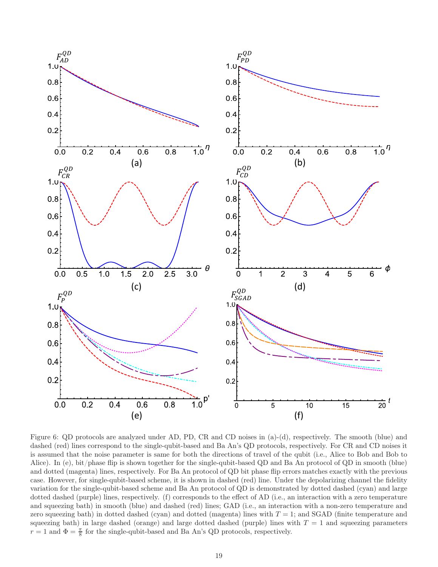

Figure 6: QD protocols are analyzed under AD, PD, CR and CD noises in (a)-(d), respectively. The smooth (blue) and dashed (red) lines correspond to the single-qubit-based and Ba An's QD protocols, respectively. For CR and CD noises it is assumed that the noise parameter is same for both the directions of travel of the qubit (i.e., Alice to Bob and Bob to Alice). In (e), bit/phase flip is shown together for the single-qubit-based QD and Ba An protocol of QD in smooth (blue) and dotted (magenta) lines, respectively. For Ba An protocol of QD bit phase flip errors matches exactly with the previous case. However, for single-qubit-based scheme, it is shown in dashed (red) line. Under the depolarizing channel the fidelity variation for the single-qubit-based scheme and Ba An protocol of QD is demonstrated by dotted dashed (cyan) and large dotted dashed (purple) lines, respectively. (f) corresponds to the effect of AD (i.e., an interaction with a zero temperature and squeezing bath) in smooth (blue) and dashed (red) lines; GAD (i.e., an interaction with a non-zero temperature and zero squeezing bath) in dotted dashed (cyan) and dotted (magenta) lines with  $T = 1$ ; and SGAD (finite temperature and squeezing bath) in large dashed (orange) and large dotted dashed (purple) lines with  $T = 1$  and squeezing parameters  $r = 1$  and  $\Phi = \frac{\pi}{8}$  for the single-qubit-based and Ba An's QD protocols, respectively.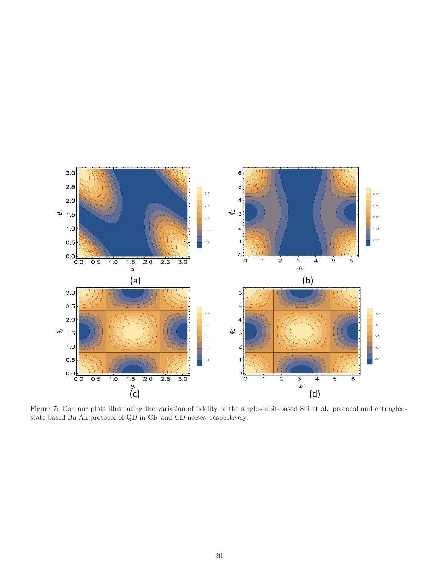

Figure 7: Contour plots illustrating the variation of fidelity of the single-qubit-based Shi et al. protocol and entangledstate-based Ba An protocol of QD in CR and CD noises, respectively.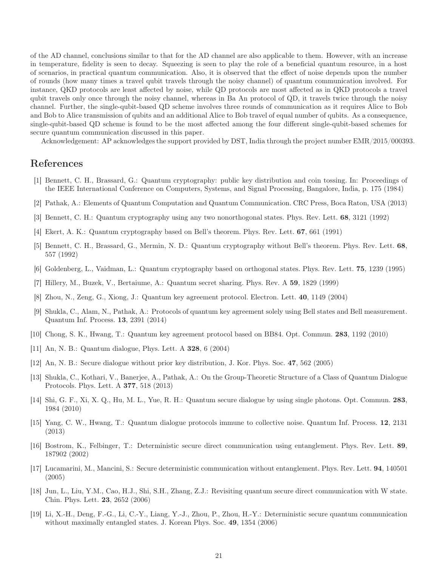of the AD channel, conclusions similar to that for the AD channel are also applicable to them. However, with an increase in temperature, fidelity is seen to decay. Squeezing is seen to play the role of a beneficial quantum resource, in a host of scenarios, in practical quantum communication. Also, it is observed that the effect of noise depends upon the number of rounds (how many times a travel qubit travels through the noisy channel) of quantum communication involved. For instance, QKD protocols are least affected by noise, while QD protocols are most affected as in QKD protocols a travel qubit travels only once through the noisy channel, whereas in Ba An protocol of QD, it travels twice through the noisy channel. Further, the single-qubit-based QD scheme involves three rounds of communication as it requires Alice to Bob and Bob to Alice transmission of qubits and an additional Alice to Bob travel of equal number of qubits. As a consequence, single-qubit-based QD scheme is found to be the most affected among the four different single-qubit-based schemes for secure quantum communication discussed in this paper.

Acknowledgement: AP acknowledges the support provided by DST, India through the project number EMR/2015/000393.

### References

- [1] Bennett, C. H., Brassard, G.: Quantum cryptography: public key distribution and coin tossing. In: Proceedings of the IEEE International Conference on Computers, Systems, and Signal Processing, Bangalore, India, p. 175 (1984)
- [2] Pathak, A.: Elements of Quantum Computation and Quantum Communication. CRC Press, Boca Raton, USA (2013)
- [3] Bennett, C. H.: Quantum cryptography using any two nonorthogonal states. Phys. Rev. Lett. 68, 3121 (1992)
- [4] Ekert, A. K.: Quantum cryptography based on Bell's theorem. Phys. Rev. Lett. 67, 661 (1991)
- [5] Bennett, C. H., Brassard, G., Mermin, N. D.: Quantum cryptography without Bell's theorem. Phys. Rev. Lett. 68, 557 (1992)
- [6] Goldenberg, L., Vaidman, L.: Quantum cryptography based on orthogonal states. Phys. Rev. Lett. 75, 1239 (1995)
- [7] Hillery, M., Buzek, V., Bertaiume, A.: Quantum secret sharing. Phys. Rev. A 59, 1829 (1999)
- [8] Zhou, N., Zeng, G., Xiong, J.: Quantum key agreement protocol. Electron. Lett. 40, 1149 (2004)
- [9] Shukla, C., Alam, N., Pathak, A.: Protocols of quantum key agreement solely using Bell states and Bell measurement. Quantum Inf. Process. 13, 2391 (2014)
- [10] Chong, S. K., Hwang, T.: Quantum key agreement protocol based on BB84. Opt. Commun. 283, 1192 (2010)
- [11] An, N. B.: Quantum dialogue, Phys. Lett. A 328, 6 (2004)
- [12] An, N. B.: Secure dialogue without prior key distribution, J. Kor. Phys. Soc. 47, 562 (2005)
- [13] Shukla, C., Kothari, V., Banerjee, A., Pathak, A.: On the Group-Theoretic Structure of a Class of Quantum Dialogue Protocols. Phys. Lett. A 377, 518 (2013)
- [14] Shi, G. F., Xi, X. Q., Hu, M. L., Yue, R. H.: Quantum secure dialogue by using single photons. Opt. Commun. 283, 1984 (2010)
- [15] Yang, C. W., Hwang, T.: Quantum dialogue protocols immune to collective noise. Quantum Inf. Process. 12, 2131 (2013)
- [16] Bostrom, K., Felbinger, T.: Deterministic secure direct communication using entanglement. Phys. Rev. Lett. 89, 187902 (2002)
- [17] Lucamarini, M., Mancini, S.: Secure deterministic communication without entanglement. Phys. Rev. Lett. 94, 140501 (2005)
- [18] Jun, L., Liu, Y.M., Cao, H.J., Shi, S.H., Zhang, Z.J.: Revisiting quantum secure direct communication with W state. Chin. Phys. Lett. 23, 2652 (2006)
- [19] Li, X.-H., Deng, F.-G., Li, C.-Y., Liang, Y.-J., Zhou, P., Zhou, H.-Y.: Deterministic secure quantum communication without maximally entangled states. J. Korean Phys. Soc. 49, 1354 (2006)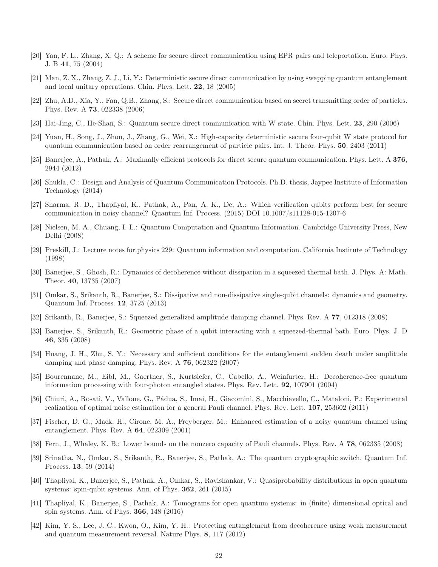- [20] Yan, F. L., Zhang, X. Q.: A scheme for secure direct communication using EPR pairs and teleportation. Euro. Phys. J. B 41, 75 (2004)
- [21] Man, Z. X., Zhang, Z. J., Li, Y.: Deterministic secure direct communication by using swapping quantum entanglement and local unitary operations. Chin. Phys. Lett. 22, 18 (2005)
- [22] Zhu, A.D., Xia, Y., Fan, Q.B., Zhang, S.: Secure direct communication based on secret transmitting order of particles. Phys. Rev. A 73, 022338 (2006)
- [23] Hai-Jing, C., He-Shan, S.: Quantum secure direct communication with W state. Chin. Phys. Lett. 23, 290 (2006)
- [24] Yuan, H., Song, J., Zhou, J., Zhang, G., Wei, X.: High-capacity deterministic secure four-qubit W state protocol for quantum communication based on order rearrangement of particle pairs. Int. J. Theor. Phys. 50, 2403 (2011)
- [25] Banerjee, A., Pathak, A.: Maximally efficient protocols for direct secure quantum communication. Phys. Lett. A 376, 2944 (2012)
- [26] Shukla, C.: Design and Analysis of Quantum Communication Protocols. Ph.D. thesis, Jaypee Institute of Information Technology (2014)
- [27] Sharma, R. D., Thapliyal, K., Pathak, A., Pan, A. K., De, A.: Which verification qubits perform best for secure communication in noisy channel? Quantum Inf. Process. (2015) DOI 10.1007/s11128-015-1207-6
- [28] Nielsen, M. A., Chuang, I. L.: Quantum Computation and Quantum Information. Cambridge University Press, New Delhi (2008)
- [29] Preskill, J.: Lecture notes for physics 229: Quantum information and computation. California Institute of Technology (1998)
- [30] Banerjee, S., Ghosh, R.: Dynamics of decoherence without dissipation in a squeezed thermal bath. J. Phys. A: Math. Theor. 40, 13735 (2007)
- [31] Omkar, S., Srikanth, R., Banerjee, S.: Dissipative and non-dissipative single-qubit channels: dynamics and geometry. Quantum Inf. Process. 12, 3725 (2013)
- [32] Srikanth, R., Banerjee, S.: Squeezed generalized amplitude damping channel. Phys. Rev. A 77, 012318 (2008)
- [33] Banerjee, S., Srikanth, R.: Geometric phase of a qubit interacting with a squeezed-thermal bath. Euro. Phys. J. D 46, 335 (2008)
- [34] Huang, J. H., Zhu, S. Y.: Necessary and sufficient conditions for the entanglement sudden death under amplitude damping and phase damping. Phys. Rev. A 76, 062322 (2007)
- [35] Bourennane, M., Eibl, M., Gaertner, S., Kurtsiefer, C., Cabello, A., Weinfurter, H.: Decoherence-free quantum information processing with four-photon entangled states. Phys. Rev. Lett. 92, 107901 (2004)
- [36] Chiuri, A., Rosati, V., Vallone, G., Pádua, S., Imai, H., Giacomini, S., Macchiavello, C., Mataloni, P.: Experimental realization of optimal noise estimation for a general Pauli channel. Phys. Rev. Lett. 107, 253602 (2011)
- [37] Fischer, D. G., Mack, H., Cirone, M. A., Freyberger, M.: Enhanced estimation of a noisy quantum channel using entanglement. Phys. Rev. A 64, 022309 (2001)
- [38] Fern, J., Whaley, K. B.: Lower bounds on the nonzero capacity of Pauli channels. Phys. Rev. A 78, 062335 (2008)
- [39] Srinatha, N., Omkar, S., Srikanth, R., Banerjee, S., Pathak, A.: The quantum cryptographic switch. Quantum Inf. Process. 13, 59 (2014)
- [40] Thapliyal, K., Banerjee, S., Pathak, A., Omkar, S., Ravishankar, V.: Quasiprobability distributions in open quantum systems: spin-qubit systems. Ann. of Phys. 362, 261 (2015)
- [41] Thapliyal, K., Banerjee, S., Pathak, A.: Tomograms for open quantum systems: in (finite) dimensional optical and spin systems. Ann. of Phys. 366, 148 (2016)
- [42] Kim, Y. S., Lee, J. C., Kwon, O., Kim, Y. H.: Protecting entanglement from decoherence using weak measurement and quantum measurement reversal. Nature Phys. 8, 117 (2012)